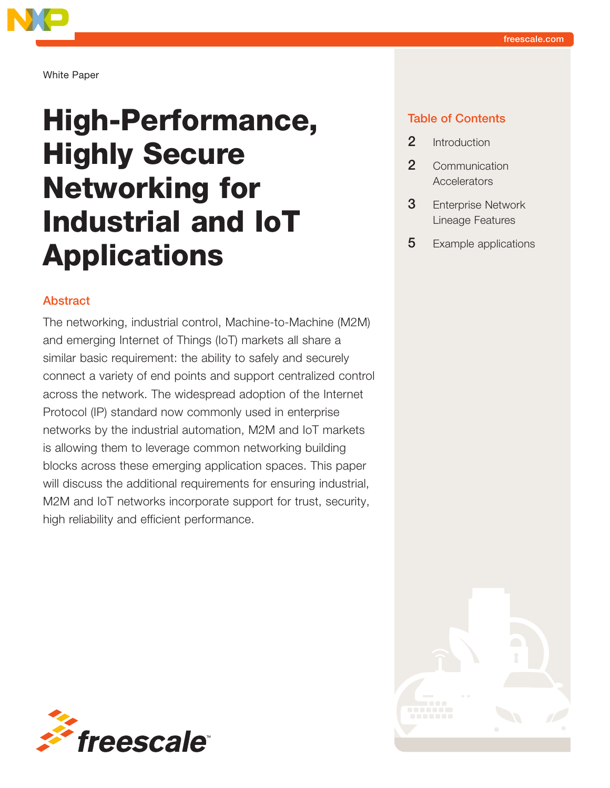

White Paper

# High-Performance, Highly Secure Networking for Industrial and IoT Applications

#### Abstract

The networking, industrial control, Machine-to-Machine (M2M) and emerging Internet of Things (IoT) markets all share a similar basic requirement: the ability to safely and securely connect a variety of end points and support centralized control across the network. The widespread adoption of the Internet Protocol (IP) standard now commonly used in enterprise networks by the industrial automation, M2M and IoT markets is allowing them to leverage common networking building blocks across these emerging application spaces. This paper will discuss the additional requirements for ensuring industrial, M2M and IoT networks incorporate support for trust, security, high reliability and efficient performance.



#### Table of Contents

- 2 Introduction
- 2 Communication **Accelerators**
- **3** Enterprise Network Lineage Features
- **5** Example applications

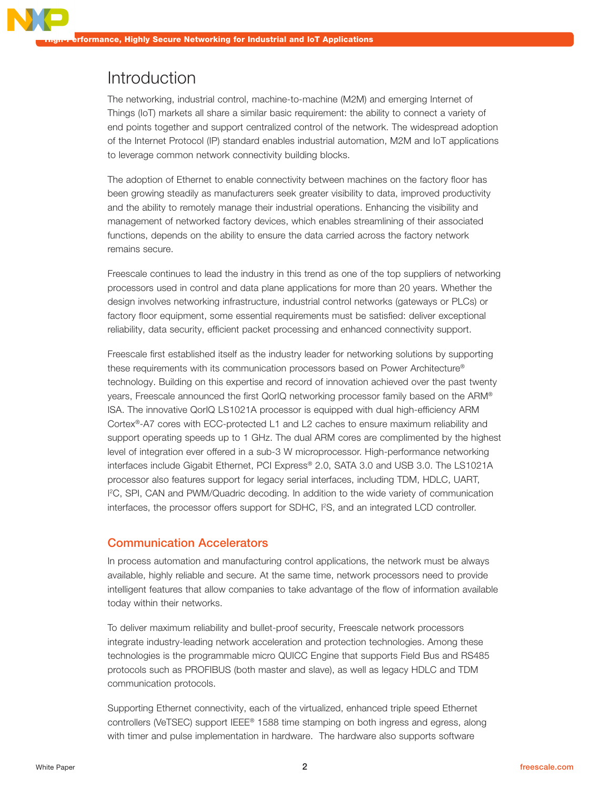## Introduction

The networking, industrial control, machine-to-machine (M2M) and emerging Internet of Things (IoT) markets all share a similar basic requirement: the ability to connect a variety of end points together and support centralized control of the network. The widespread adoption of the Internet Protocol (IP) standard enables industrial automation, M2M and IoT applications to leverage common network connectivity building blocks.

The adoption of Ethernet to enable connectivity between machines on the factory floor has been growing steadily as manufacturers seek greater visibility to data, improved productivity and the ability to remotely manage their industrial operations. Enhancing the visibility and management of networked factory devices, which enables streamlining of their associated functions, depends on the ability to ensure the data carried across the factory network remains secure.

Freescale continues to lead the industry in this trend as one of the top suppliers of networking processors used in control and data plane applications for more than 20 years. Whether the design involves networking infrastructure, industrial control networks (gateways or PLCs) or factory floor equipment, some essential requirements must be satisfied: deliver exceptional reliability, data security, efficient packet processing and enhanced connectivity support.

Freescale first established itself as the industry leader for networking solutions by supporting these requirements with its communication processors based on Power Architecture® technology. Building on this expertise and record of innovation achieved over the past twenty years, Freescale announced the first QorIQ networking processor family based on the ARM® ISA. The innovative QorIQ LS1021A processor is equipped with dual high-efficiency ARM Cortex®-A7 cores with ECC-protected L1 and L2 caches to ensure maximum reliability and support operating speeds up to 1 GHz. The dual ARM cores are complimented by the highest level of integration ever offered in a sub-3 W microprocessor. High-performance networking interfaces include Gigabit Ethernet, PCI Express® 2.0, SATA 3.0 and USB 3.0. The LS1021A processor also features support for legacy serial interfaces, including TDM, HDLC, UART, I 2 C, SPI, CAN and PWM/Quadric decoding. In addition to the wide variety of communication interfaces, the processor offers support for SDHC, I<sup>2</sup>S, and an integrated LCD controller.

#### Communication Accelerators

In process automation and manufacturing control applications, the network must be always available, highly reliable and secure. At the same time, network processors need to provide intelligent features that allow companies to take advantage of the flow of information available today within their networks.

To deliver maximum reliability and bullet-proof security, Freescale network processors integrate industry-leading network acceleration and protection technologies. Among these technologies is the programmable micro QUICC Engine that supports Field Bus and RS485 protocols such as PROFIBUS (both master and slave), as well as legacy HDLC and TDM communication protocols.

Supporting Ethernet connectivity, each of the virtualized, enhanced triple speed Ethernet controllers (VeTSEC) support IEEE® 1588 time stamping on both ingress and egress, along with timer and pulse implementation in hardware. The hardware also supports software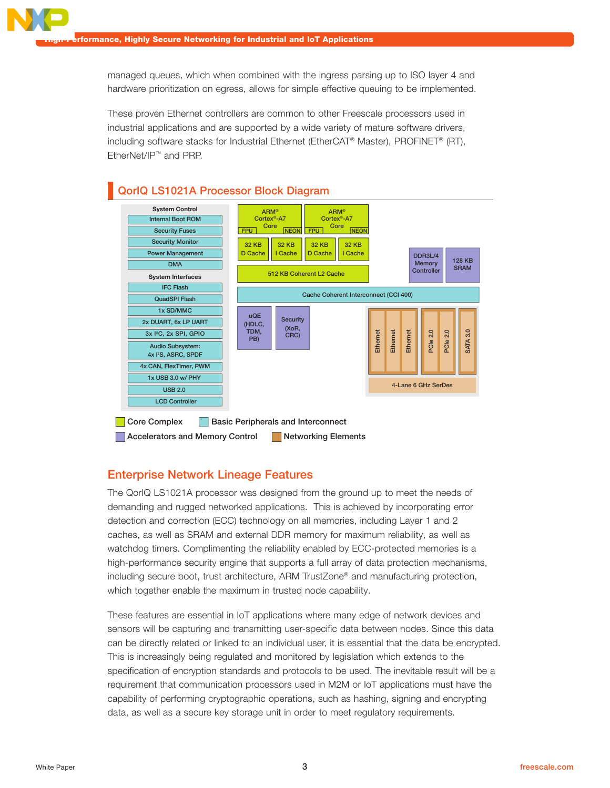managed queues, which when combined with the ingress parsing up to ISO layer 4 and hardware prioritization on egress, allows for simple effective queuing to be implemented.

These proven Ethernet controllers are common to other Freescale processors used in industrial applications and are supported by a wide variety of mature software drivers, including software stacks for Industrial Ethernet (EtherCAT® Master), PROFINET® (RT), EtherNet/IP™ and PRP.



#### Enterprise Network Lineage Features

The QorIQ LS1021A processor was designed from the ground up to meet the needs of demanding and rugged networked applications. This is achieved by incorporating error detection and correction (ECC) technology on all memories, including Layer 1 and 2 caches, as well as SRAM and external DDR memory for maximum reliability, as well as watchdog timers. Complimenting the reliability enabled by ECC-protected memories is a high-performance security engine that supports a full array of data protection mechanisms, including secure boot, trust architecture, ARM TrustZone® and manufacturing protection, which together enable the maximum in trusted node capability.

These features are essential in IoT applications where many edge of network devices and sensors will be capturing and transmitting user-specific data between nodes. Since this data can be directly related or linked to an individual user, it is essential that the data be encrypted. This is increasingly being regulated and monitored by legislation which extends to the specification of encryption standards and protocols to be used. The inevitable result will be a requirement that communication processors used in M2M or IoT applications must have the capability of performing cryptographic operations, such as hashing, signing and encrypting data, as well as a secure key storage unit in order to meet regulatory requirements.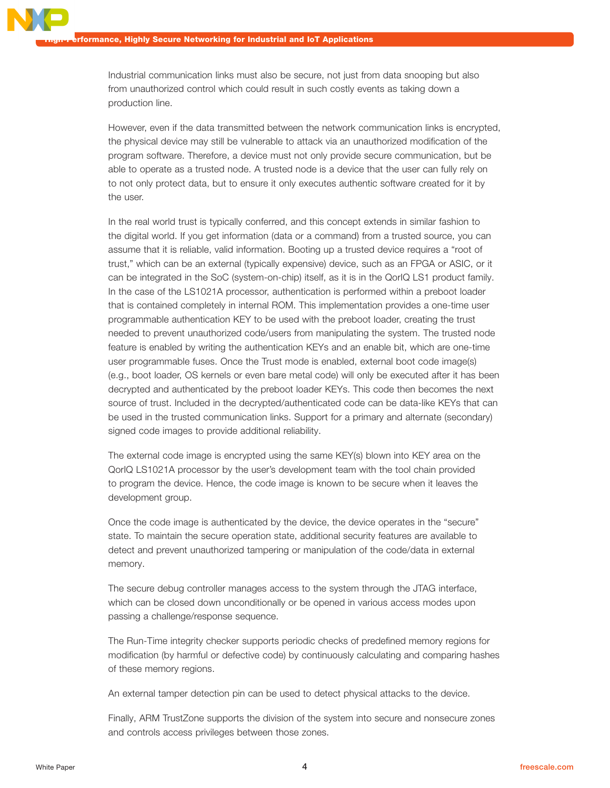Industrial communication links must also be secure, not just from data snooping but also from unauthorized control which could result in such costly events as taking down a production line.

However, even if the data transmitted between the network communication links is encrypted, the physical device may still be vulnerable to attack via an unauthorized modification of the program software. Therefore, a device must not only provide secure communication, but be able to operate as a trusted node. A trusted node is a device that the user can fully rely on to not only protect data, but to ensure it only executes authentic software created for it by the user.

In the real world trust is typically conferred, and this concept extends in similar fashion to the digital world. If you get information (data or a command) from a trusted source, you can assume that it is reliable, valid information. Booting up a trusted device requires a "root of trust," which can be an external (typically expensive) device, such as an FPGA or ASIC, or it can be integrated in the SoC (system-on-chip) itself, as it is in the QorIQ LS1 product family. In the case of the LS1021A processor, authentication is performed within a preboot loader that is contained completely in internal ROM. This implementation provides a one-time user programmable authentication KEY to be used with the preboot loader, creating the trust needed to prevent unauthorized code/users from manipulating the system. The trusted node feature is enabled by writing the authentication KEYs and an enable bit, which are one-time user programmable fuses. Once the Trust mode is enabled, external boot code image(s) (e.g., boot loader, OS kernels or even bare metal code) will only be executed after it has been decrypted and authenticated by the preboot loader KEYs. This code then becomes the next source of trust. Included in the decrypted/authenticated code can be data-like KEYs that can be used in the trusted communication links. Support for a primary and alternate (secondary) signed code images to provide additional reliability.

The external code image is encrypted using the same KEY(s) blown into KEY area on the QorIQ LS1021A processor by the user's development team with the tool chain provided to program the device. Hence, the code image is known to be secure when it leaves the development group.

Once the code image is authenticated by the device, the device operates in the "secure" state. To maintain the secure operation state, additional security features are available to detect and prevent unauthorized tampering or manipulation of the code/data in external memory.

The secure debug controller manages access to the system through the JTAG interface, which can be closed down unconditionally or be opened in various access modes upon passing a challenge/response sequence.

The Run-Time integrity checker supports periodic checks of predefined memory regions for modification (by harmful or defective code) by continuously calculating and comparing hashes of these memory regions.

An external tamper detection pin can be used to detect physical attacks to the device.

Finally, ARM TrustZone supports the division of the system into secure and nonsecure zones and controls access privileges between those zones.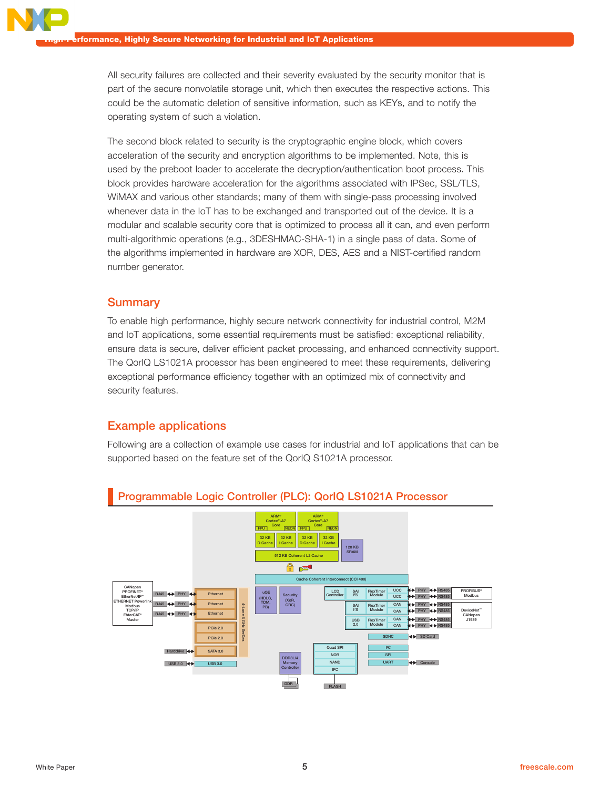All security failures are collected and their severity evaluated by the security monitor that is part of the secure nonvolatile storage unit, which then executes the respective actions. This could be the automatic deletion of sensitive information, such as KEYs, and to notify the operating system of such a violation.

The second block related to security is the cryptographic engine block, which covers acceleration of the security and encryption algorithms to be implemented. Note, this is used by the preboot loader to accelerate the decryption/authentication boot process. This block provides hardware acceleration for the algorithms associated with IPSec, SSL/TLS, WiMAX and various other standards; many of them with single-pass processing involved whenever data in the IoT has to be exchanged and transported out of the device. It is a modular and scalable security core that is optimized to process all it can, and even perform multi-algorithmic operations (e.g., 3DESHMAC-SHA-1) in a single pass of data. Some of the algorithms implemented in hardware are XOR, DES, AES and a NIST-certified random number generator.

#### **Summary**

To enable high performance, highly secure network connectivity for industrial control, M2M and IoT applications, some essential requirements must be satisfied: exceptional reliability, ensure data is secure, deliver efficient packet processing, and enhanced connectivity support. The QorIQ LS1021A processor has been engineered to meet these requirements, delivering exceptional performance efficiency together with an optimized mix of connectivity and security features.

#### Example applications

Following are a collection of example use cases for industrial and IoT applications that can be supported based on the feature set of the QorIQ S1021A processor.



### Programmable Logic Controller (PLC): QorIQ LS1021A Processor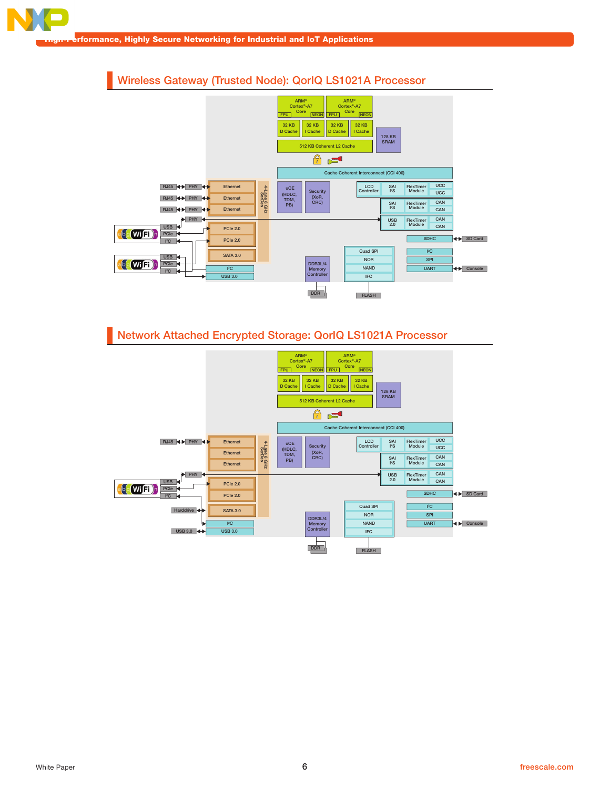## Wireless Gateway (Trusted Node): QorIQ LS1021A Processor



## Network Attached Encrypted Storage: QorIQ LS1021A Processor